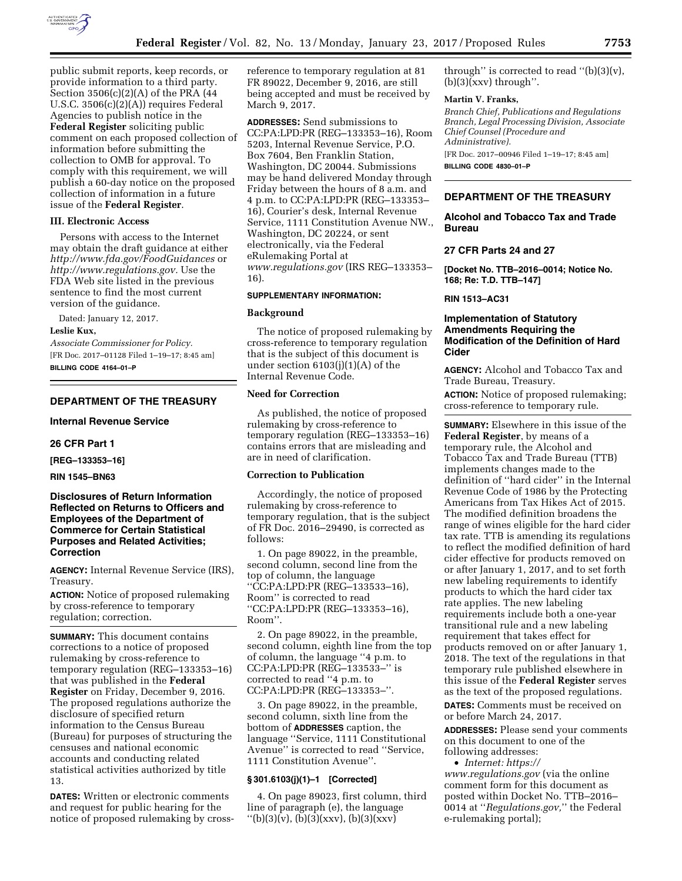

public submit reports, keep records, or provide information to a third party. Section 3506(c)(2)(A) of the PRA (44 U.S.C. 3506(c)(2)(A)) requires Federal Agencies to publish notice in the **Federal Register** soliciting public comment on each proposed collection of information before submitting the collection to OMB for approval. To comply with this requirement, we will publish a 60-day notice on the proposed collection of information in a future issue of the **Federal Register**.

### **III. Electronic Access**

Persons with access to the Internet may obtain the draft guidance at either *<http://www.fda.gov/FoodGuidances>*or *[http://www.regulations.gov.](http://www.regulations.gov)* Use the FDA Web site listed in the previous sentence to find the most current version of the guidance.

Dated: January 12, 2017.

#### **Leslie Kux,**

*Associate Commissioner for Policy.*  [FR Doc. 2017–01128 Filed 1–19–17; 8:45 am] **BILLING CODE 4164–01–P** 

#### **DEPARTMENT OF THE TREASURY**

**Internal Revenue Service** 

#### **26 CFR Part 1**

**[REG–133353–16]** 

### **RIN 1545–BN63**

**Disclosures of Return Information Reflected on Returns to Officers and Employees of the Department of Commerce for Certain Statistical Purposes and Related Activities; Correction** 

**AGENCY:** Internal Revenue Service (IRS), Treasury.

**ACTION:** Notice of proposed rulemaking by cross-reference to temporary regulation; correction.

**SUMMARY:** This document contains corrections to a notice of proposed rulemaking by cross-reference to temporary regulation (REG–133353–16) that was published in the **Federal Register** on Friday, December 9, 2016. The proposed regulations authorize the disclosure of specified return information to the Census Bureau (Bureau) for purposes of structuring the censuses and national economic accounts and conducting related statistical activities authorized by title 13.

**DATES:** Written or electronic comments and request for public hearing for the notice of proposed rulemaking by crossreference to temporary regulation at 81 FR 89022, December 9, 2016, are still being accepted and must be received by March 9, 2017.

**ADDRESSES:** Send submissions to CC:PA:LPD:PR (REG–133353–16), Room 5203, Internal Revenue Service, P.O. Box 7604, Ben Franklin Station, Washington, DC 20044. Submissions may be hand delivered Monday through Friday between the hours of 8 a.m. and 4 p.m. to CC:PA:LPD:PR (REG–133353– 16), Courier's desk, Internal Revenue Service, 1111 Constitution Avenue NW., Washington, DC 20224, or sent electronically, via the Federal eRulemaking Portal at *[www.regulations.gov](http://www.regulations.gov)* (IRS REG–133353– 16).

#### **SUPPLEMENTARY INFORMATION:**

#### **Background**

The notice of proposed rulemaking by cross-reference to temporary regulation that is the subject of this document is under section 6103(j)(1)(A) of the Internal Revenue Code.

# **Need for Correction**

As published, the notice of proposed rulemaking by cross-reference to temporary regulation (REG–133353–16) contains errors that are misleading and are in need of clarification.

# **Correction to Publication**

Accordingly, the notice of proposed rulemaking by cross-reference to temporary regulation, that is the subject of FR Doc. 2016–29490, is corrected as follows:

1. On page 89022, in the preamble, second column, second line from the top of column, the language ''CC:PA:LPD:PR (REG–133533–16), Room'' is corrected to read ''CC:PA:LPD:PR (REG–133353–16), Room''.

2. On page 89022, in the preamble, second column, eighth line from the top of column, the language ''4 p.m. to CC:PA:LPD:PR (REG–133533–'' is corrected to read ''4 p.m. to CC:PA:LPD:PR (REG–133353–''.

3. On page 89022, in the preamble, second column, sixth line from the bottom of **ADDRESSES** caption, the language ''Service, 1111 Constitutional Avenue'' is corrected to read ''Service, 1111 Constitution Avenue''.

#### **§ 301.6103(j)(1)–1 [Corrected]**

4. On page 89023, first column, third line of paragraph (e), the language  $''(b)(3)(v)$ ,  $(b)(3)(xxx)$ ,  $(b)(3)(xxx)$ 

through" is corrected to read " $(b)(3)(v)$ ,  $(b)(3)(xxx)$  through".

### **Martin V. Franks,**

*Branch Chief, Publications and Regulations Branch, Legal Processing Division, Associate Chief Counsel (Procedure and Administrative).*  [FR Doc. 2017–00946 Filed 1–19–17; 8:45 am]

**BILLING CODE 4830–01–P** 

# **DEPARTMENT OF THE TREASURY**

**Alcohol and Tobacco Tax and Trade Bureau** 

# **27 CFR Parts 24 and 27**

**[Docket No. TTB–2016–0014; Notice No. 168; Re: T.D. TTB–147]** 

# **RIN 1513–AC31**

# **Implementation of Statutory Amendments Requiring the Modification of the Definition of Hard Cider**

**AGENCY:** Alcohol and Tobacco Tax and Trade Bureau, Treasury.

**ACTION:** Notice of proposed rulemaking; cross-reference to temporary rule.

**SUMMARY:** Elsewhere in this issue of the **Federal Register**, by means of a temporary rule, the Alcohol and Tobacco Tax and Trade Bureau (TTB) implements changes made to the definition of ''hard cider'' in the Internal Revenue Code of 1986 by the Protecting Americans from Tax Hikes Act of 2015. The modified definition broadens the range of wines eligible for the hard cider tax rate. TTB is amending its regulations to reflect the modified definition of hard cider effective for products removed on or after January 1, 2017, and to set forth new labeling requirements to identify products to which the hard cider tax rate applies. The new labeling requirements include both a one-year transitional rule and a new labeling requirement that takes effect for products removed on or after January 1, 2018. The text of the regulations in that temporary rule published elsewhere in this issue of the **Federal Register** serves as the text of the proposed regulations.

**DATES:** Comments must be received on or before March 24, 2017.

**ADDRESSES:** Please send your comments on this document to one of the following addresses:

• *Internet: [https://](https://www.regulations.gov)*

*[www.regulations.gov](https://www.regulations.gov)* (via the online comment form for this document as posted within Docket No. TTB–2016– 0014 at ''*Regulations.gov,*'' the Federal e-rulemaking portal);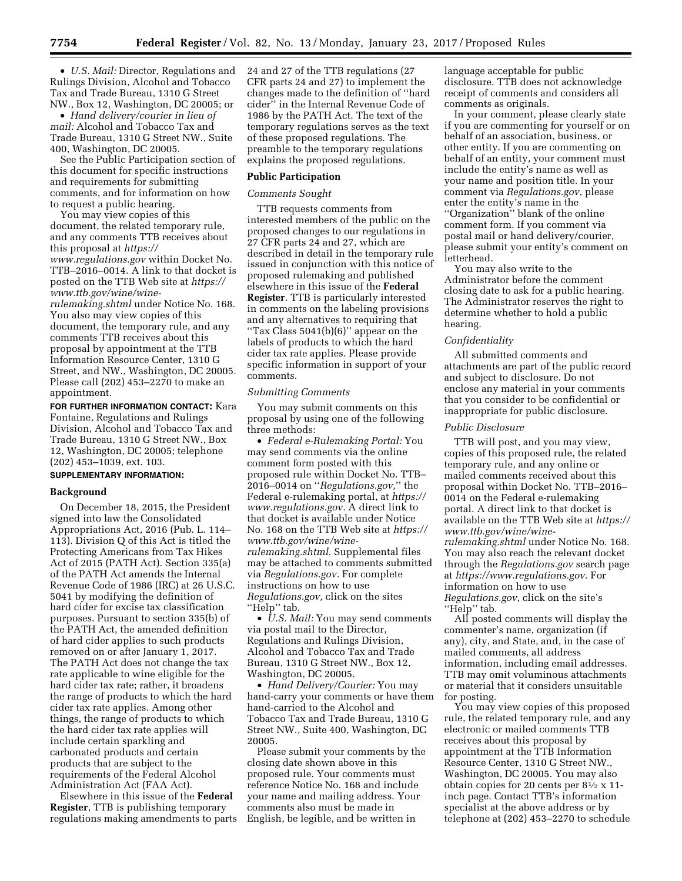• *U.S. Mail:* Director, Regulations and Rulings Division, Alcohol and Tobacco Tax and Trade Bureau, 1310 G Street NW., Box 12, Washington, DC 20005; or

• *Hand delivery/courier in lieu of mail:* Alcohol and Tobacco Tax and Trade Bureau, 1310 G Street NW., Suite 400, Washington, DC 20005.

See the Public Participation section of this document for specific instructions and requirements for submitting comments, and for information on how to request a public hearing.

You may view copies of this document, the related temporary rule, and any comments TTB receives about this proposal at *[https://](https://www.regulations.gov) [www.regulations.gov](https://www.regulations.gov)* within Docket No. TTB–2016–0014. A link to that docket is posted on the TTB Web site at *[https://](https://www.ttb.gov/wine/wine-rulemaking.shtml) [www.ttb.gov/wine/wine-](https://www.ttb.gov/wine/wine-rulemaking.shtml)*

*[rulemaking.shtml](https://www.ttb.gov/wine/wine-rulemaking.shtml)* under Notice No. 168. You also may view copies of this document, the temporary rule, and any comments TTB receives about this proposal by appointment at the TTB Information Resource Center, 1310 G Street, and NW., Washington, DC 20005. Please call (202) 453–2270 to make an appointment.

**FOR FURTHER INFORMATION CONTACT:** Kara Fontaine, Regulations and Rulings Division, Alcohol and Tobacco Tax and Trade Bureau, 1310 G Street NW., Box 12, Washington, DC 20005; telephone (202) 453–1039, ext. 103.

# **SUPPLEMENTARY INFORMATION:**

#### **Background**

On December 18, 2015, the President signed into law the Consolidated Appropriations Act, 2016 (Pub. L. 114– 113). Division Q of this Act is titled the Protecting Americans from Tax Hikes Act of 2015 (PATH Act). Section 335(a) of the PATH Act amends the Internal Revenue Code of 1986 (IRC) at 26 U.S.C. 5041 by modifying the definition of hard cider for excise tax classification purposes. Pursuant to section 335(b) of the PATH Act, the amended definition of hard cider applies to such products removed on or after January 1, 2017. The PATH Act does not change the tax rate applicable to wine eligible for the hard cider tax rate; rather, it broadens the range of products to which the hard cider tax rate applies. Among other things, the range of products to which the hard cider tax rate applies will include certain sparkling and carbonated products and certain products that are subject to the requirements of the Federal Alcohol Administration Act (FAA Act).

Elsewhere in this issue of the **Federal Register**, TTB is publishing temporary regulations making amendments to parts 24 and 27 of the TTB regulations (27 CFR parts 24 and 27) to implement the changes made to the definition of ''hard cider'' in the Internal Revenue Code of 1986 by the PATH Act. The text of the temporary regulations serves as the text of these proposed regulations. The preamble to the temporary regulations explains the proposed regulations.

# **Public Participation**

# *Comments Sought*

TTB requests comments from interested members of the public on the proposed changes to our regulations in 27 CFR parts 24 and 27, which are described in detail in the temporary rule issued in conjunction with this notice of proposed rulemaking and published elsewhere in this issue of the **Federal Register**. TTB is particularly interested in comments on the labeling provisions and any alternatives to requiring that ''Tax Class 5041(b)(6)'' appear on the labels of products to which the hard cider tax rate applies. Please provide specific information in support of your comments.

### *Submitting Comments*

You may submit comments on this proposal by using one of the following three methods:

• *Federal e-Rulemaking Portal:* You may send comments via the online comment form posted with this proposed rule within Docket No. TTB– 2016–0014 on ''*Regulations.gov,*'' the Federal e-rulemaking portal, at *[https://](https://www.regulations.gov) [www.regulations.gov.](https://www.regulations.gov)* A direct link to that docket is available under Notice No. 168 on the TTB Web site at *[https://](https://www.ttb.gov/wine/wine-rulemaking.shtml)  [www.ttb.gov/wine/wine](https://www.ttb.gov/wine/wine-rulemaking.shtml)[rulemaking.shtml.](https://www.ttb.gov/wine/wine-rulemaking.shtml)* Supplemental files may be attached to comments submitted via *Regulations.gov.* For complete instructions on how to use *Regulations.gov,* click on the sites "Help" tab.

• *U.S. Mail:* You may send comments via postal mail to the Director, Regulations and Rulings Division, Alcohol and Tobacco Tax and Trade Bureau, 1310 G Street NW., Box 12, Washington, DC 20005.

• *Hand Delivery/Courier:* You may hand-carry your comments or have them hand-carried to the Alcohol and Tobacco Tax and Trade Bureau, 1310 G Street NW., Suite 400, Washington, DC 20005.

Please submit your comments by the closing date shown above in this proposed rule. Your comments must reference Notice No. 168 and include your name and mailing address. Your comments also must be made in English, be legible, and be written in

language acceptable for public disclosure. TTB does not acknowledge receipt of comments and considers all comments as originals.

In your comment, please clearly state if you are commenting for yourself or on behalf of an association, business, or other entity. If you are commenting on behalf of an entity, your comment must include the entity's name as well as your name and position title. In your comment via *Regulations.gov*, please enter the entity's name in the ''Organization'' blank of the online comment form. If you comment via postal mail or hand delivery/courier, please submit your entity's comment on letterhead.

You may also write to the Administrator before the comment closing date to ask for a public hearing. The Administrator reserves the right to determine whether to hold a public hearing.

### *Confidentiality*

All submitted comments and attachments are part of the public record and subject to disclosure. Do not enclose any material in your comments that you consider to be confidential or inappropriate for public disclosure.

## *Public Disclosure*

TTB will post, and you may view, copies of this proposed rule, the related temporary rule, and any online or mailed comments received about this proposal within Docket No. TTB–2016– 0014 on the Federal e-rulemaking portal. A direct link to that docket is available on the TTB Web site at *[https://](https://www.ttb.gov/wine/wine-rulemaking.shtml)  [www.ttb.gov/wine/wine](https://www.ttb.gov/wine/wine-rulemaking.shtml)[rulemaking.shtml](https://www.ttb.gov/wine/wine-rulemaking.shtml)* under Notice No. 168. You may also reach the relevant docket through the *Regulations.gov* search page at *[https://www.regulations.gov.](https://www.regulations.gov)* For information on how to use *Regulations.gov*, click on the site's "Help" tab.

All posted comments will display the commenter's name, organization (if any), city, and State, and, in the case of mailed comments, all address information, including email addresses. TTB may omit voluminous attachments or material that it considers unsuitable for posting.

You may view copies of this proposed rule, the related temporary rule, and any electronic or mailed comments TTB receives about this proposal by appointment at the TTB Information Resource Center, 1310 G Street NW., Washington, DC 20005. You may also obtain copies for 20 cents per  $8\frac{1}{2} \times 11$ inch page. Contact TTB's information specialist at the above address or by telephone at (202) 453–2270 to schedule